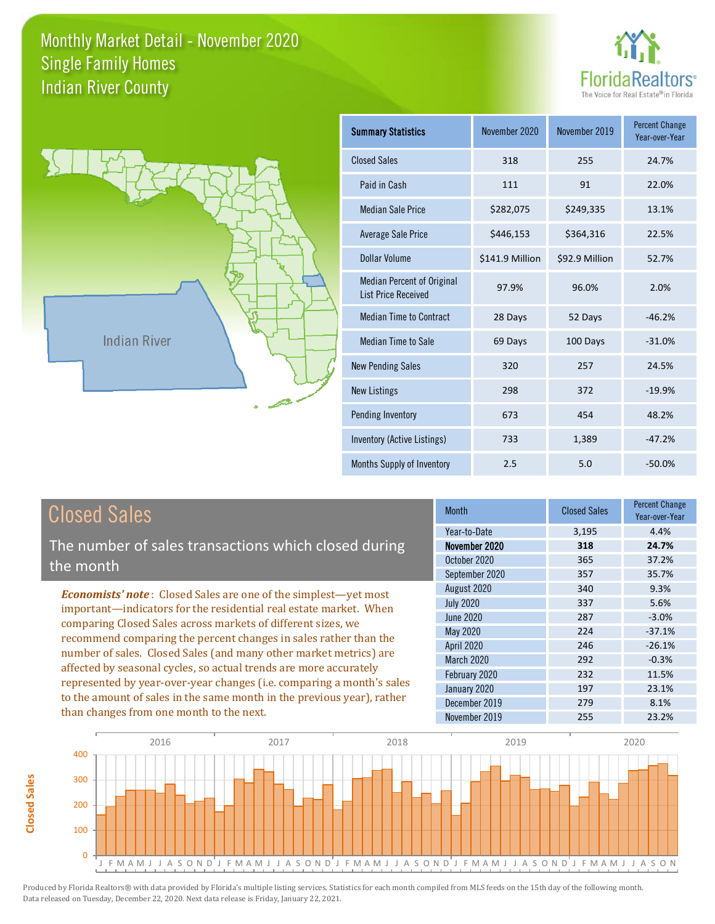



**Closed Sales**

**Closed Sales** 

| <b>Summary Statistics</b>                                       | November 2020   | November 2019  | <b>Percent Change</b><br>Year-over-Year |
|-----------------------------------------------------------------|-----------------|----------------|-----------------------------------------|
| <b>Closed Sales</b>                                             | 318             | 255            | 24.7%                                   |
| Paid in Cash                                                    | 111             | 91             | 22.0%                                   |
| <b>Median Sale Price</b>                                        | \$282,075       | \$249,335      | 13.1%                                   |
| Average Sale Price                                              | \$446,153       | \$364,316      | 22.5%                                   |
| Dollar Volume                                                   | \$141.9 Million | \$92.9 Million | 52.7%                                   |
| <b>Median Percent of Original</b><br><b>List Price Received</b> | 97.9%           | 96.0%          | 2.0%                                    |
| <b>Median Time to Contract</b>                                  | 28 Days         | 52 Days        | $-46.2%$                                |
| Median Time to Sale                                             | 69 Days         | 100 Days       | $-31.0%$                                |
| <b>New Pending Sales</b>                                        | 320             | 257            | 24.5%                                   |
| <b>New Listings</b>                                             | 298             | 372            | $-19.9%$                                |
| Pending Inventory                                               | 673             | 454            | 48.2%                                   |
| Inventory (Active Listings)                                     | 733             | 1,389          | $-47.2%$                                |
| Months Supply of Inventory                                      | 2.5             | 5.0            | $-50.0%$                                |

| <b>Closed Sales</b>                                                                                                                                                                                                                                                                                                                                                                                                                                                                                                                                                                                                      | <b>Month</b>                                                                                                                                                                            | <b>Closed Sales</b>                                                       | <b>Percent Change</b><br>Year-over-Year                                                                |
|--------------------------------------------------------------------------------------------------------------------------------------------------------------------------------------------------------------------------------------------------------------------------------------------------------------------------------------------------------------------------------------------------------------------------------------------------------------------------------------------------------------------------------------------------------------------------------------------------------------------------|-----------------------------------------------------------------------------------------------------------------------------------------------------------------------------------------|---------------------------------------------------------------------------|--------------------------------------------------------------------------------------------------------|
| The number of sales transactions which closed during<br>the month                                                                                                                                                                                                                                                                                                                                                                                                                                                                                                                                                        | Year-to-Date<br>November 2020<br>October 2020                                                                                                                                           | 3,195<br>318<br>365                                                       | 4.4%<br>24.7%<br>37.2%                                                                                 |
| <b>Economists' note:</b> Closed Sales are one of the simplest—yet most<br>important—indicators for the residential real estate market. When<br>comparing Closed Sales across markets of different sizes, we<br>recommend comparing the percent changes in sales rather than the<br>number of sales. Closed Sales (and many other market metrics) are<br>affected by seasonal cycles, so actual trends are more accurately<br>represented by year-over-year changes (i.e. comparing a month's sales<br>to the amount of sales in the same month in the previous year), rather<br>than changes from one month to the next. | September 2020<br>August 2020<br><b>July 2020</b><br>June 2020<br>May 2020<br><b>April 2020</b><br><b>March 2020</b><br>February 2020<br>January 2020<br>December 2019<br>November 2019 | 357<br>340<br>337<br>287<br>224<br>246<br>292<br>232<br>197<br>279<br>255 | 35.7%<br>9.3%<br>5.6%<br>$-3.0%$<br>$-37.1%$<br>$-26.1%$<br>$-0.3%$<br>11.5%<br>23.1%<br>8.1%<br>23.2% |

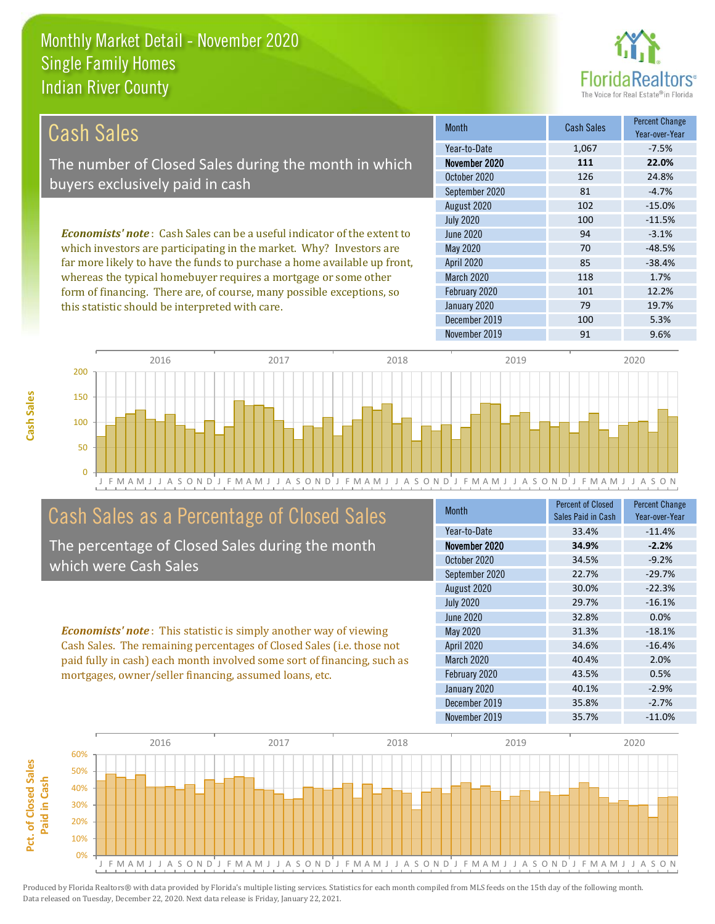this statistic should be interpreted with care.



79 19.7%

| Cash Sales                                                                      | <b>Month</b>      | <b>Cash Sales</b> | <b>Percent Change</b><br>Year-over-Year |
|---------------------------------------------------------------------------------|-------------------|-------------------|-----------------------------------------|
|                                                                                 | Year-to-Date      | 1,067             | $-7.5%$                                 |
| The number of Closed Sales during the month in which                            | November 2020     | 111               | 22.0%                                   |
| buyers exclusively paid in cash                                                 | October 2020      | 126               | 24.8%                                   |
|                                                                                 | September 2020    | 81                | $-4.7%$                                 |
|                                                                                 | August 2020       | 102               | $-15.0%$                                |
|                                                                                 | <b>July 2020</b>  | 100               | $-11.5%$                                |
| <b>Economists' note</b> : Cash Sales can be a useful indicator of the extent to | June 2020         | 94                | $-3.1%$                                 |
| which investors are participating in the market. Why? Investors are             | May 2020          | 70                | $-48.5%$                                |
| far more likely to have the funds to purchase a home available up front,        | <b>April 2020</b> | 85                | $-38.4%$                                |
| whereas the typical homebuyer requires a mortgage or some other                 | <b>March 2020</b> | 118               | 1.7%                                    |
| form of financing. There are, of course, many possible exceptions, so           | February 2020     | 101               | 12.2%                                   |

J F M A M J J A S O N D J F M A M J J A S O N D J F M A M J J A S O N D J F M A M J J A S O N D J F M A M J J A S O N 0 50 100 150 200 2016 2017 2018 2019 2020

# Cash Sales as a Percentage of Closed Sales

The percentage of Closed Sales during the month which were Cash Sales

*Economists' note* : This statistic is simply another way of viewing Cash Sales. The remaining percentages of Closed Sales (i.e. those not paid fully in cash) each month involved some sort of financing, such as mortgages, owner/seller financing, assumed loans, etc.

| <b>Month</b>      | <b>Percent of Closed</b><br>Sales Paid in Cash | <b>Percent Change</b><br>Year-over-Year |
|-------------------|------------------------------------------------|-----------------------------------------|
| Year-to-Date      | 33.4%                                          | $-11.4%$                                |
| November 2020     | 34.9%                                          | $-2.2%$                                 |
| October 2020      | 34.5%                                          | $-9.2%$                                 |
| September 2020    | 22.7%                                          | $-29.7%$                                |
| August 2020       | 30.0%                                          | $-22.3%$                                |
| <b>July 2020</b>  | 29.7%                                          | $-16.1%$                                |
| June 2020         | 32.8%                                          | 0.0%                                    |
| May 2020          | 31.3%                                          | $-18.1%$                                |
| <b>April 2020</b> | 34.6%                                          | $-16.4%$                                |
| <b>March 2020</b> | 40.4%                                          | 2.0%                                    |
| February 2020     | 43.5%                                          | 0.5%                                    |
| January 2020      | 40.1%                                          | $-2.9%$                                 |
| December 2019     | 35.8%                                          | $-2.7%$                                 |
| November 2019     | 35.7%                                          | $-11.0%$                                |

December 2019 100 100 5.3%

January 2020

November 2019 91 91 9.6%

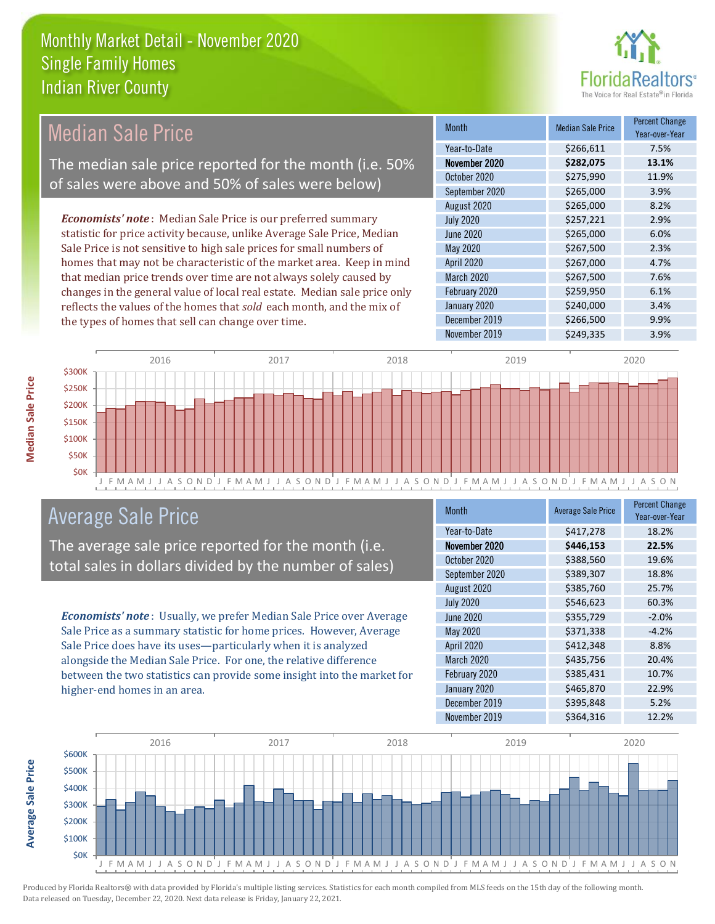

# Median Sale Price

The median sale price reported for the month (i.e. 50% of sales were above and 50% of sales were below)

*Economists' note* : Median Sale Price is our preferred summary statistic for price activity because, unlike Average Sale Price, Median Sale Price is not sensitive to high sale prices for small numbers of homes that may not be characteristic of the market area. Keep in mind that median price trends over time are not always solely caused by changes in the general value of local real estate. Median sale price only reflects the values of the homes that *sold* each month, and the mix of the types of homes that sell can change over time.

| Month            | <b>Median Sale Price</b> | <b>Percent Change</b><br>Year-over-Year |
|------------------|--------------------------|-----------------------------------------|
| Year-to-Date     | \$266,611                | 7.5%                                    |
| November 2020    | \$282,075                | 13.1%                                   |
| October 2020     | \$275,990                | 11.9%                                   |
| September 2020   | \$265,000                | 3.9%                                    |
| August 2020      | \$265,000                | 8.2%                                    |
| <b>July 2020</b> | \$257,221                | 2.9%                                    |
| <b>June 2020</b> | \$265,000                | 6.0%                                    |
| May 2020         | \$267,500                | 2.3%                                    |
| April 2020       | \$267,000                | 4.7%                                    |
| March 2020       | \$267,500                | 7.6%                                    |
| February 2020    | \$259,950                | 6.1%                                    |
| January 2020     | \$240,000                | 3.4%                                    |
| December 2019    | \$266,500                | 9.9%                                    |
| November 2019    | \$249,335                | 3.9%                                    |



# Average Sale Price

The average sale price reported for the month (i.e. total sales in dollars divided by the number of sales)

*Economists' note* : Usually, we prefer Median Sale Price over Average Sale Price as a summary statistic for home prices. However, Average Sale Price does have its uses—particularly when it is analyzed alongside the Median Sale Price. For one, the relative difference between the two statistics can provide some insight into the market for higher-end homes in an area.

| <b>Month</b>      | <b>Average Sale Price</b> | <b>Percent Change</b><br>Year-over-Year |
|-------------------|---------------------------|-----------------------------------------|
| Year-to-Date      | \$417,278                 | 18.2%                                   |
| November 2020     | \$446,153                 | 22.5%                                   |
| October 2020      | \$388,560                 | 19.6%                                   |
| September 2020    | \$389,307                 | 18.8%                                   |
| August 2020       | \$385,760                 | 25.7%                                   |
| <b>July 2020</b>  | \$546,623                 | 60.3%                                   |
| June 2020         | \$355,729                 | $-2.0%$                                 |
| May 2020          | \$371,338                 | $-4.2%$                                 |
| April 2020        | \$412,348                 | 8.8%                                    |
| <b>March 2020</b> | \$435,756                 | 20.4%                                   |
| February 2020     | \$385,431                 | 10.7%                                   |
| January 2020      | \$465,870                 | 22.9%                                   |
| December 2019     | \$395,848                 | 5.2%                                    |
| November 2019     | \$364,316                 | 12.2%                                   |



**Average Sale Price**

**Average Sale Price**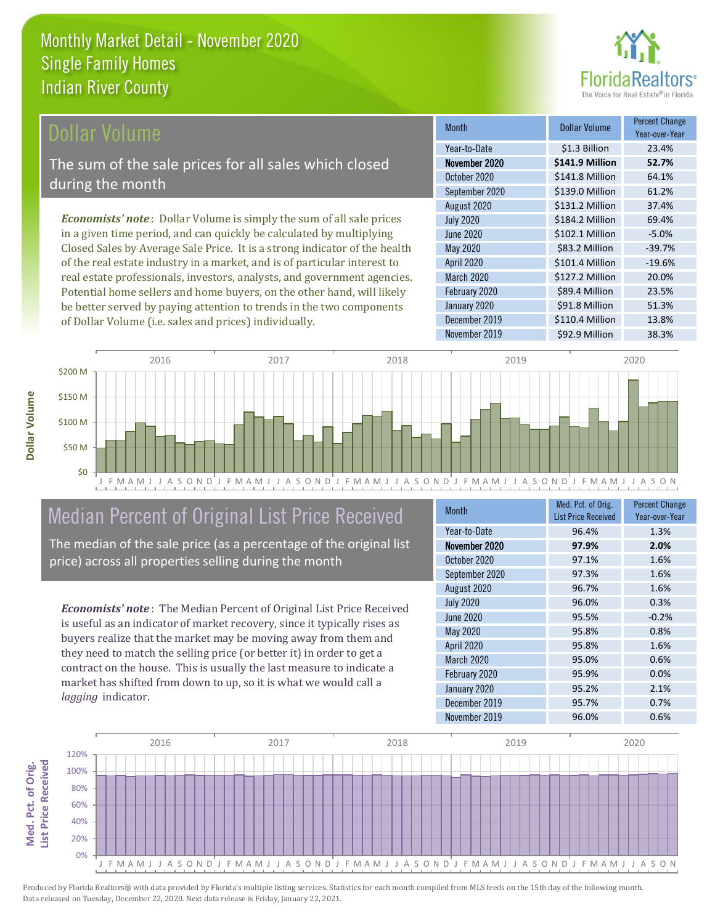

#### **Ollar Volume**

The sum of the sale prices for all sales which closed during the month

*Economists' note* : Dollar Volume is simply the sum of all sale prices in a given time period, and can quickly be calculated by multiplying Closed Sales by Average Sale Price. It is a strong indicator of the health of the real estate industry in a market, and is of particular interest to real estate professionals, investors, analysts, and government agencies. Potential home sellers and home buyers, on the other hand, will likely be better served by paying attention to trends in the two components of Dollar Volume (i.e. sales and prices) individually.

| <b>Month</b>      | Dollar Volume   | <b>Percent Change</b><br>Year-over-Year |
|-------------------|-----------------|-----------------------------------------|
| Year-to-Date      | \$1.3 Billion   | 23.4%                                   |
| November 2020     | \$141.9 Million | 52.7%                                   |
| October 2020      | \$141.8 Million | 64.1%                                   |
| September 2020    | \$139.0 Million | 61.2%                                   |
| August 2020       | \$131.2 Million | 37.4%                                   |
| <b>July 2020</b>  | \$184.2 Million | 69.4%                                   |
| <b>June 2020</b>  | \$102.1 Million | $-5.0%$                                 |
| May 2020          | \$83.2 Million  | $-39.7%$                                |
| April 2020        | \$101.4 Million | $-19.6%$                                |
| <b>March 2020</b> | \$127.2 Million | 20.0%                                   |
| February 2020     | \$89.4 Million  | 23.5%                                   |
| January 2020      | \$91.8 Million  | 51.3%                                   |
| December 2019     | \$110.4 Million | 13.8%                                   |
| November 2019     | \$92.9 Million  | 38.3%                                   |



# Median Percent of Original List Price Received

The median of the sale price (as a percentage of the original list price) across all properties selling during the month

*Economists' note* : The Median Percent of Original List Price Received is useful as an indicator of market recovery, since it typically rises as buyers realize that the market may be moving away from them and they need to match the selling price (or better it) in order to get a contract on the house. This is usually the last measure to indicate a market has shifted from down to up, so it is what we would call a *lagging* indicator.

| <b>Month</b>      | Med. Pct. of Orig.<br><b>List Price Received</b> | <b>Percent Change</b><br>Year-over-Year |
|-------------------|--------------------------------------------------|-----------------------------------------|
| Year-to-Date      | 96.4%                                            | 1.3%                                    |
| November 2020     | 97.9%                                            | 2.0%                                    |
| October 2020      | 97.1%                                            | 1.6%                                    |
| September 2020    | 97.3%                                            | 1.6%                                    |
| August 2020       | 96.7%                                            | 1.6%                                    |
| <b>July 2020</b>  | 96.0%                                            | 0.3%                                    |
| <b>June 2020</b>  | 95.5%                                            | $-0.2%$                                 |
| May 2020          | 95.8%                                            | 0.8%                                    |
| April 2020        | 95.8%                                            | 1.6%                                    |
| <b>March 2020</b> | 95.0%                                            | 0.6%                                    |
| February 2020     | 95.9%                                            | 0.0%                                    |
| January 2020      | 95.2%                                            | 2.1%                                    |
| December 2019     | 95.7%                                            | 0.7%                                    |
| November 2019     | 96.0%                                            | 0.6%                                    |

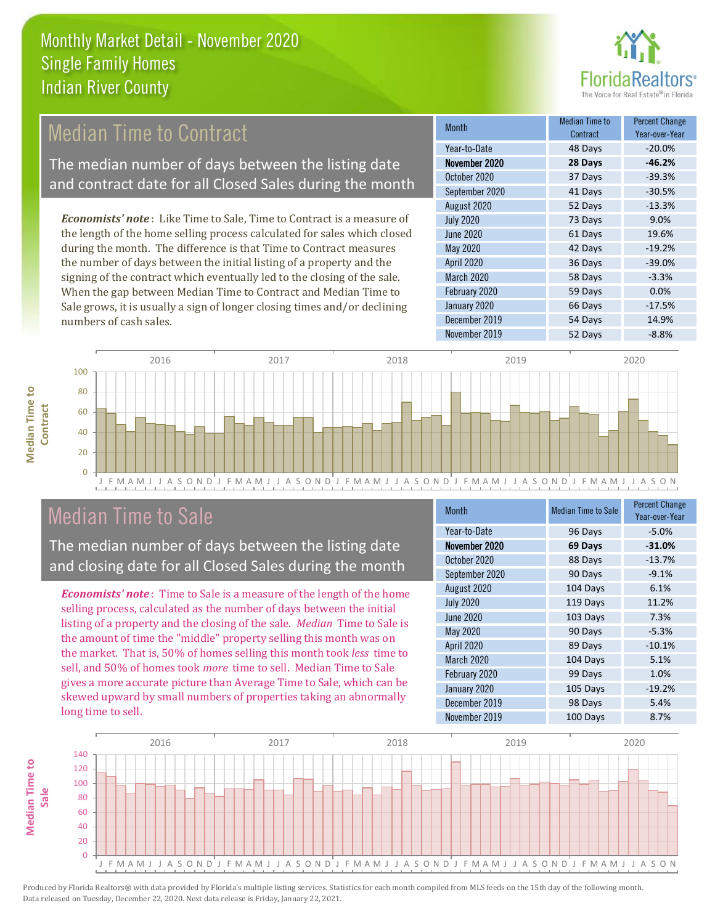

# **Median Time to Contract**

The median number of days between the listing date and contract date for all Closed Sales during the month

*Economists' note* : Like Time to Sale, Time to Contract is a measure of the length of the home selling process calculated for sales which closed during the month. The difference is that Time to Contract measures the number of days between the initial listing of a property and the signing of the contract which eventually led to the closing of the sale. When the gap between Median Time to Contract and Median Time to Sale grows, it is usually a sign of longer closing times and/or declining numbers of cash sales.

| <b>Month</b>     | Median Time to<br>Contract | <b>Percent Change</b><br>Year-over-Year |
|------------------|----------------------------|-----------------------------------------|
| Year-to-Date     | 48 Days                    | $-20.0%$                                |
| November 2020    | 28 Days                    | $-46.2%$                                |
| October 2020     | 37 Days                    | $-39.3%$                                |
| September 2020   | 41 Days                    | $-30.5%$                                |
| August 2020      | 52 Days                    | $-13.3%$                                |
| <b>July 2020</b> | 73 Days                    | 9.0%                                    |
| <b>June 2020</b> | 61 Days                    | 19.6%                                   |
| May 2020         | 42 Days                    | $-19.2%$                                |
| April 2020       | 36 Days                    | $-39.0%$                                |
| March 2020       | 58 Days                    | $-3.3%$                                 |
| February 2020    | 59 Days                    | 0.0%                                    |
| January 2020     | 66 Days                    | $-17.5%$                                |
| December 2019    | 54 Days                    | 14.9%                                   |
| November 2019    | 52 Days                    | $-8.8%$                                 |



# Median Time to Sale

**Median Time to** 

**Median Time to** 

**Median Time to** 

The median number of days between the listing date and closing date for all Closed Sales during the month

*Economists' note* : Time to Sale is a measure of the length of the home selling process, calculated as the number of days between the initial listing of a property and the closing of the sale. *Median* Time to Sale is the amount of time the "middle" property selling this month was on the market. That is, 50% of homes selling this month took *less* time to sell, and 50% of homes took *more* time to sell. Median Time to Sale gives a more accurate picture than Average Time to Sale, which can be skewed upward by small numbers of properties taking an abnormally long time to sell.

| Month             | <b>Median Time to Sale</b> | <b>Percent Change</b><br>Year-over-Year |
|-------------------|----------------------------|-----------------------------------------|
| Year-to-Date      | 96 Days                    | $-5.0%$                                 |
| November 2020     | 69 Days                    | $-31.0%$                                |
| October 2020      | 88 Days                    | $-13.7%$                                |
| September 2020    | 90 Days                    | $-9.1%$                                 |
| August 2020       | 104 Days                   | 6.1%                                    |
| <b>July 2020</b>  | 119 Days                   | 11.2%                                   |
| <b>June 2020</b>  | 103 Days                   | 7.3%                                    |
| May 2020          | 90 Days                    | $-5.3%$                                 |
| April 2020        | 89 Days                    | $-10.1%$                                |
| <b>March 2020</b> | 104 Days                   | 5.1%                                    |
| February 2020     | 99 Days                    | 1.0%                                    |
| January 2020      | 105 Days                   | $-19.2%$                                |
| December 2019     | 98 Days                    | 5.4%                                    |
| November 2019     | 100 Days                   | 8.7%                                    |

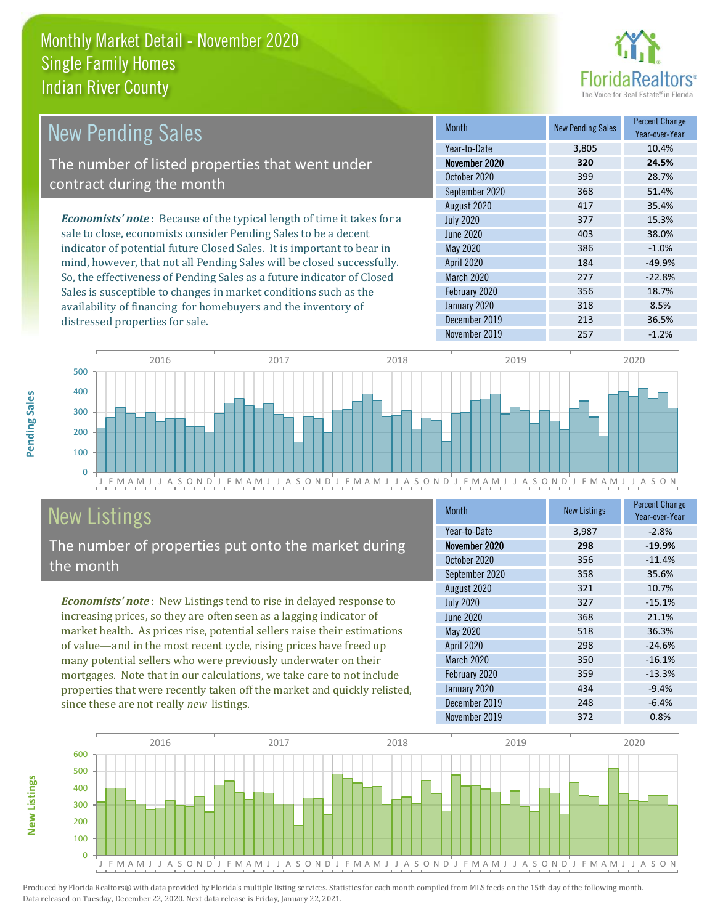

| <b>New Pending Sales</b>                                                       | <b>Month</b>     | <b>New Pending Sales</b> | <b>Percent Change</b><br>Year-over-Year |
|--------------------------------------------------------------------------------|------------------|--------------------------|-----------------------------------------|
|                                                                                | Year-to-Date     | 3.805                    | 10.4%                                   |
| The number of listed properties that went under                                | November 2020    | 320                      | 24.5%                                   |
| contract during the month                                                      | October 2020     | 399                      | 28.7%                                   |
|                                                                                | September 2020   | 368                      | 51.4%                                   |
|                                                                                | August 2020      | 417                      | 35.4%                                   |
| <b>Economists' note</b> : Because of the typical length of time it takes for a | <b>July 2020</b> | 377                      | 15.3%                                   |
| sale to close, economists consider Pending Sales to be a decent                | June 2020        | 403                      | 38.0%                                   |
| indicator of potential future Closed Sales. It is important to bear in         | May 2020         | 386                      | $-1.0%$                                 |
| mind, however, that not all Pending Sales will be closed successfully.         | April 2020       | 184                      | $-49.9%$                                |
| So, the effectiveness of Pending Sales as a future indicator of Closed         | March 2020       | 277                      | $-22.8%$                                |
| Sales is susceptible to changes in market conditions such as the               | February 2020    | 356                      | 18.7%                                   |



# New Listings

**New Listings**

**Pending Sales**

Pending Sales

distressed properties for sale.

The number of properties put onto the market during the month

availability of financing for homebuyers and the inventory of

*Economists' note* : New Listings tend to rise in delayed response to increasing prices, so they are often seen as a lagging indicator of market health. As prices rise, potential sellers raise their estimations of value—and in the most recent cycle, rising prices have freed up many potential sellers who were previously underwater on their mortgages. Note that in our calculations, we take care to not include properties that were recently taken off the market and quickly relisted, since these are not really *new* listings.

| <b>Month</b>      | <b>New Listings</b> | <b>Percent Change</b><br>Year-over-Year |
|-------------------|---------------------|-----------------------------------------|
| Year-to-Date      | 3,987               | $-2.8%$                                 |
| November 2020     | 298                 | $-19.9%$                                |
| October 2020      | 356                 | $-11.4%$                                |
| September 2020    | 358                 | 35.6%                                   |
| August 2020       | 321                 | 10.7%                                   |
| <b>July 2020</b>  | 327                 | $-15.1%$                                |
| <b>June 2020</b>  | 368                 | 21.1%                                   |
| <b>May 2020</b>   | 518                 | 36.3%                                   |
| <b>April 2020</b> | 298                 | $-24.6%$                                |
| <b>March 2020</b> | 350                 | $-16.1%$                                |
| February 2020     | 359                 | $-13.3%$                                |
| January 2020      | 434                 | $-9.4%$                                 |
| December 2019     | 248                 | $-6.4%$                                 |
| November 2019     | 372                 | 0.8%                                    |

January 2020 318 8.5% December 2019 213 36.5%

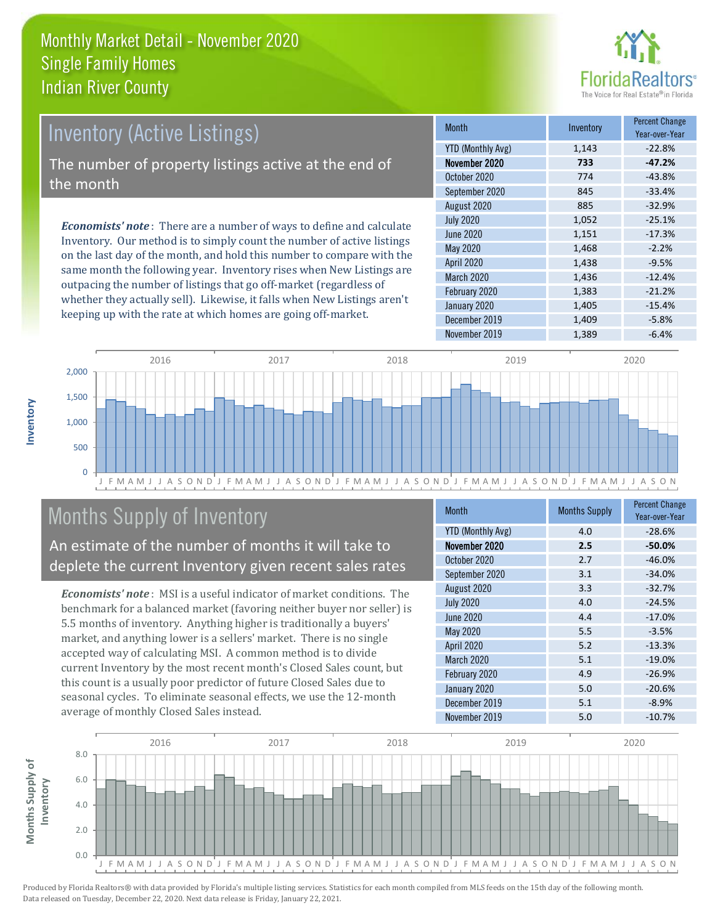

# Inventory (Active Listings)

The number of property listings active at the end of the month

*Economists' note* : There are a number of ways to define and calculate Inventory. Our method is to simply count the number of active listings on the last day of the month, and hold this number to compare with the same month the following year. Inventory rises when New Listings are outpacing the number of listings that go off-market (regardless of whether they actually sell). Likewise, it falls when New Listings aren't keeping up with the rate at which homes are going off-market.

| <b>Month</b>             | Inventory | <b>Percent Change</b><br>Year-over-Year |
|--------------------------|-----------|-----------------------------------------|
| <b>YTD (Monthly Avg)</b> | 1,143     | $-22.8%$                                |
| November 2020            | 733       | $-47.2%$                                |
| October 2020             | 774       | $-43.8%$                                |
| September 2020           | 845       | $-33.4%$                                |
| August 2020              | 885       | $-32.9%$                                |
| <b>July 2020</b>         | 1,052     | $-25.1%$                                |
| June 2020                | 1,151     | $-17.3%$                                |
| May 2020                 | 1,468     | $-2.2%$                                 |
| April 2020               | 1,438     | $-9.5%$                                 |
| March 2020               | 1,436     | $-12.4%$                                |
| February 2020            | 1,383     | $-21.2%$                                |
| January 2020             | 1,405     | $-15.4%$                                |
| December 2019            | 1,409     | $-5.8%$                                 |
| November 2019            | 1,389     | $-6.4%$                                 |



# Months Supply of Inventory

An estimate of the number of months it will take to deplete the current Inventory given recent sales rates

*Economists' note* : MSI is a useful indicator of market conditions. The benchmark for a balanced market (favoring neither buyer nor seller) is 5.5 months of inventory. Anything higher is traditionally a buyers' market, and anything lower is a sellers' market. There is no single accepted way of calculating MSI. A common method is to divide current Inventory by the most recent month's Closed Sales count, but this count is a usually poor predictor of future Closed Sales due to seasonal cycles. To eliminate seasonal effects, we use the 12-month average of monthly Closed Sales instead.

| <b>Month</b>             | <b>Months Supply</b> | <b>Percent Change</b><br>Year-over-Year |
|--------------------------|----------------------|-----------------------------------------|
| <b>YTD (Monthly Avg)</b> | 4.0                  | $-28.6%$                                |
| November 2020            | 2.5                  | $-50.0%$                                |
| October 2020             | 2.7                  | $-46.0%$                                |
| September 2020           | 3.1                  | $-34.0%$                                |
| August 2020              | 3.3                  | $-32.7%$                                |
| <b>July 2020</b>         | 4.0                  | $-24.5%$                                |
| <b>June 2020</b>         | 4.4                  | $-17.0%$                                |
| May 2020                 | 5.5                  | $-3.5%$                                 |
| April 2020               | 5.2                  | $-13.3%$                                |
| <b>March 2020</b>        | 5.1                  | $-19.0%$                                |
| February 2020            | 4.9                  | $-26.9%$                                |
| January 2020             | 5.0                  | $-20.6%$                                |
| December 2019            | 5.1                  | $-8.9%$                                 |
| November 2019            | 5.0                  | $-10.7%$                                |

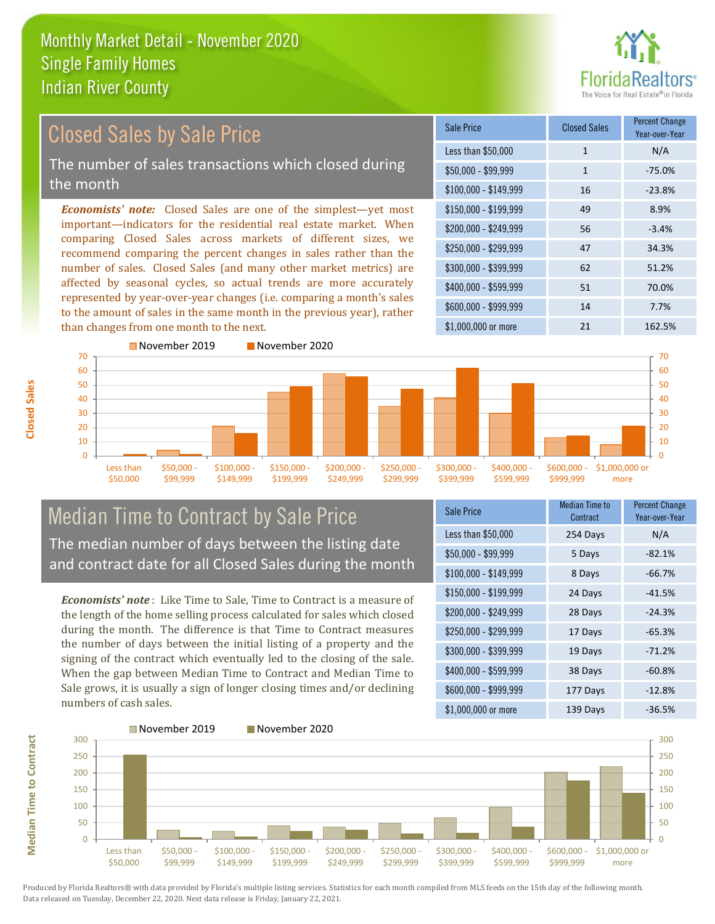

#### $$100,000 - $149,999$  16 -23.8% Sale Price Closed Sales Percent Change Year-over-Year Less than \$50,000 1 1 N/A  $$50.000 - $99.999$  1 -75.0% \$150,000 - \$199,999 49 8.9% \$200,000 - \$249,999 56 -3.4% \$400,000 - \$599,999 51 70.0% \$600,000 - \$999,999 14 7.7% *Economists' note:* Closed Sales are one of the simplest—yet most important—indicators for the residential real estate market. When comparing Closed Sales across markets of different sizes, we recommend comparing the percent changes in sales rather than the number of sales. Closed Sales (and many other market metrics) are affected by seasonal cycles, so actual trends are more accurately represented by year-over-year changes (i.e. comparing a month's sales to the amount of sales in the same month in the previous year), rather than changes from one month to the next. \$1,000,000 or more 21 21 162.5% \$250,000 - \$299,999 47 34.3% \$300,000 - \$399,999 62 51.2% 70 November 2019 November 2020 70 Closed Sales by Sale Price The number of sales transactions which closed during the month



### Median Time to Contract by Sale Price The median number of days between the listing date and contract date for all Closed Sales during the month

*Economists' note* : Like Time to Sale, Time to Contract is a measure of the length of the home selling process calculated for sales which closed during the month. The difference is that Time to Contract measures the number of days between the initial listing of a property and the signing of the contract which eventually led to the closing of the sale. When the gap between Median Time to Contract and Median Time to Sale grows, it is usually a sign of longer closing times and/or declining numbers of cash sales.

| <b>Sale Price</b>     | Median Time to<br>Contract | <b>Percent Change</b><br>Year-over-Year |
|-----------------------|----------------------------|-----------------------------------------|
| Less than \$50,000    | 254 Days                   | N/A                                     |
| \$50,000 - \$99,999   | 5 Days                     | $-82.1%$                                |
| $$100,000 - $149,999$ | 8 Days                     | $-66.7%$                                |
| $$150,000 - $199,999$ | 24 Days                    | $-41.5%$                                |
| \$200,000 - \$249,999 | 28 Days                    | $-24.3%$                                |
| \$250,000 - \$299,999 | 17 Days                    | $-65.3%$                                |
| \$300,000 - \$399,999 | 19 Days                    | $-71.2%$                                |
| \$400,000 - \$599,999 | 38 Days                    | $-60.8%$                                |
| \$600,000 - \$999,999 | 177 Days                   | $-12.8%$                                |
| \$1,000,000 or more   | 139 Days                   | $-36.5%$                                |



**Median Time to Contract**

**Median Time to Contract**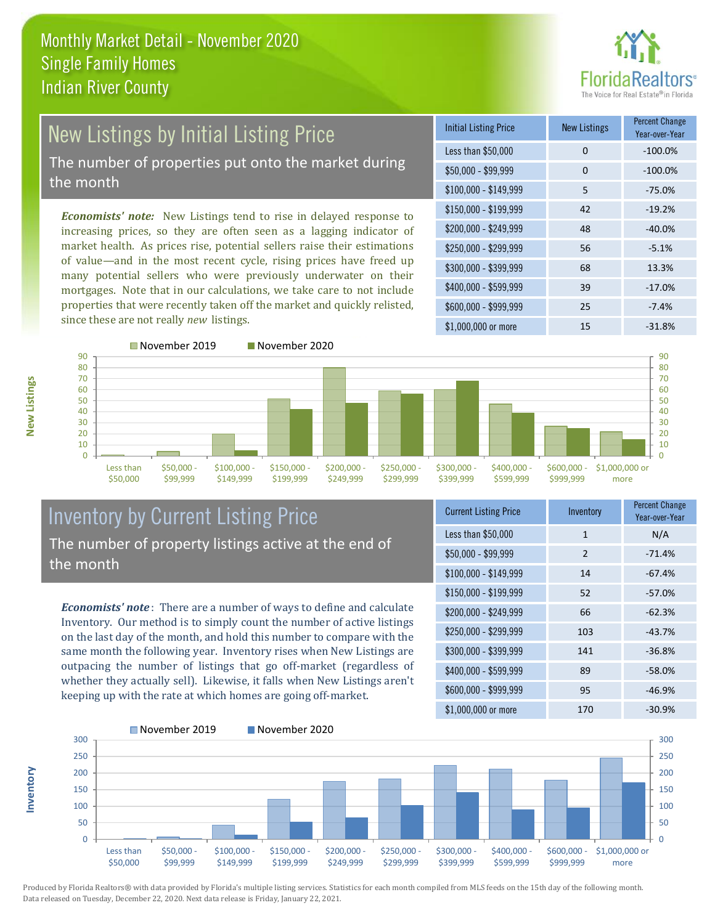

# New Listings by Initial Listing Price The number of properties put onto the market during

the month

*Economists' note:* New Listings tend to rise in delayed response to increasing prices, so they are often seen as a lagging indicator of market health. As prices rise, potential sellers raise their estimations of value—and in the most recent cycle, rising prices have freed up many potential sellers who were previously underwater on their mortgages. Note that in our calculations, we take care to not include properties that were recently taken off the market and quickly relisted, since these are not really *new* listings.

| <b>Initial Listing Price</b> | New Listings | <b>Percent Change</b><br>Year-over-Year |
|------------------------------|--------------|-----------------------------------------|
| Less than \$50,000           | 0            | $-100.0%$                               |
| $$50,000 - $99,999$          | 0            | $-100.0%$                               |
| $$100,000 - $149,999$        | 5            | $-75.0%$                                |
| $$150,000 - $199,999$        | 42           | $-19.2%$                                |
| \$200,000 - \$249,999        | 48           | $-40.0%$                                |
| \$250,000 - \$299,999        | 56           | $-5.1%$                                 |
| \$300,000 - \$399,999        | 68           | 13.3%                                   |
| \$400,000 - \$599,999        | 39           | $-17.0%$                                |
| \$600,000 - \$999,999        | 25           | $-7.4%$                                 |
| \$1,000,000 or more          | 15           | $-31.8%$                                |



**New Listings**

**Inventory**



### Inventory by Current Listing Price The number of property listings active at the end of the month

*Economists' note* : There are a number of ways to define and calculate Inventory. Our method is to simply count the number of active listings on the last day of the month, and hold this number to compare with the same month the following year. Inventory rises when New Listings are outpacing the number of listings that go off-market (regardless of whether they actually sell). Likewise, it falls when New Listings aren't keeping up with the rate at which homes are going off-market.

| <b>Current Listing Price</b> | Inventory | <b>Percent Change</b><br>Year-over-Year |
|------------------------------|-----------|-----------------------------------------|
| Less than \$50,000           | 1         | N/A                                     |
| $$50,000 - $99,999$          | 2         | $-71.4%$                                |
| $$100,000 - $149,999$        | 14        | $-67.4%$                                |
| $$150,000 - $199,999$        | 52        | $-57.0%$                                |
| \$200,000 - \$249,999        | 66        | $-62.3%$                                |
| \$250,000 - \$299,999        | 103       | $-43.7%$                                |
| \$300,000 - \$399,999        | 141       | $-36.8%$                                |
| \$400,000 - \$599,999        | 89        | $-58.0%$                                |
| \$600,000 - \$999,999        | 95        | $-46.9%$                                |
| \$1,000,000 or more          | 170       | $-30.9%$                                |